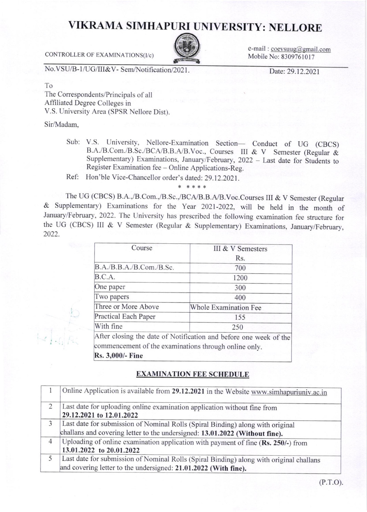## VIKRAMA SIMHAPURI UNIVERSITY: NELLORE



e-mail: coevsuug@gmail.com Mobile No: 8309761017

CONTROLLER OF EXAMINATIONS(I/c)

No.VSU/B-1/UG/III&V- Sem/Notification/2021.

Date: 29.12.2021

T<sub>o</sub>

The Correspondents/Principals of all Affiliated Degree Colleges in V.S. University Area (SPSR Nellore Dist).

Sir/Madam.

Sub: V.S. University, Nellore-Examination Section- Conduct of UG (CBCS) B.A./B.Com./B.Sc./BCA/B.B.A/B.Voc., Courses III & V Semester (Regular & Supplementary) Examinations, January/February, 2022 - Last date for Students to Register Examination fee - Online Applications-Reg.

Ref: Hon'ble Vice-Chancellor order's dated: 29.12.2021.

\* \* \* \* \*

The UG (CBCS) B.A.,/B.Com.,/B.Sc.,/BCA/B.B.A/B.Voc.Courses III & V Semester (Regular & Supplementary) Examinations for the Year 2021-2022, will be held in the month of January/February, 2022. The University has prescribed the following examination fee structure for the UG (CBCS) III & V Semester (Regular & Supplementary) Examinations, January/February, 2022.

| Course                                                                    | III & V Semesters                                                 |
|---------------------------------------------------------------------------|-------------------------------------------------------------------|
|                                                                           | Rs.                                                               |
| B.A./B.B.A./B.Com./B.Sc.                                                  | 700                                                               |
| B.C.A.                                                                    | 1200                                                              |
| One paper                                                                 | 300                                                               |
| Two papers                                                                | 400                                                               |
| Three or More Above                                                       | Whole Examination Fee                                             |
| Practical Each Paper                                                      | 155                                                               |
| With fine                                                                 | 250                                                               |
| commencement of the examinations through online only.<br>Rs. 3,000/- Fine | After closing the date of Notification and before one week of the |

## **EXAMINATION FEE SCHEDULE**

|                | Online Application is available from 29.12.2021 in the Website www.simhapuriuniv.ac.in  |
|----------------|-----------------------------------------------------------------------------------------|
| $\overline{2}$ | Last date for uploading online examination application without fine from                |
|                | 29.12.2021 to 12.01.2022                                                                |
| 3              | Last date for submission of Nominal Rolls (Spiral Binding) along with original          |
|                | challans and covering letter to the undersigned: 13.01.2022 (Without fine).             |
| $\overline{4}$ | Uploading of online examination application with payment of fine (Rs. 250/-) from       |
|                | 13.01.2022 to 20.01.2022                                                                |
|                | Last date for submission of Nominal Rolls (Spiral Binding) along with original challans |
|                | and covering letter to the undersigned: 21.01.2022 (With fine).                         |